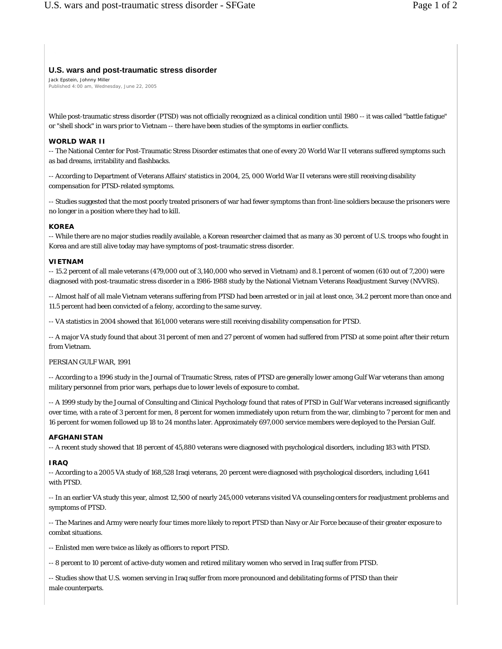# **U.S. wars and post-traumatic stress disorder**

Jack Epstein, Johnny Miller Published 4:00 am, Wednesday, June 22, 2005

While post-traumatic stress disorder (PTSD) was not officially recognized as a clinical condition until 1980 -- it was called "battle fatigue" or "shell shock" in wars prior to Vietnam -- there have been studies of the symptoms in earlier conflicts.

## **WORLD WAR II**

-- The National Center for Post-Traumatic Stress Disorder estimates that one of every 20 World War II veterans suffered symptoms such as bad dreams, irritability and flashbacks.

-- According to Department of Veterans Affairs' statistics in 2004, 25, 000 World War II veterans were still receiving disability compensation for PTSD-related symptoms.

-- Studies suggested that the most poorly treated prisoners of war had fewer symptoms than front-line soldiers because the prisoners were no longer in a position where they had to kill.

### **KOREA**

-- While there are no major studies readily available, a Korean researcher claimed that as many as 30 percent of U.S. troops who fought in Korea and are still alive today may have symptoms of post-traumatic stress disorder.

### **VIETNAM**

-- 15.2 percent of all male veterans (479,000 out of 3,140,000 who served in Vietnam) and 8.1 percent of women (610 out of 7,200) were diagnosed with post-traumatic stress disorder in a 1986-1988 study by the National Vietnam Veterans Readjustment Survey (NVVRS).

-- Almost half of all male Vietnam veterans suffering from PTSD had been arrested or in jail at least once, 34.2 percent more than once and 11.5 percent had been convicted of a felony, according to the same survey.

-- VA statistics in 2004 showed that 161,000 veterans were still receiving disability compensation for PTSD.

-- A major VA study found that about 31 percent of men and 27 percent of women had suffered from PTSD at some point after their return from Vietnam.

### PERSIAN GULF WAR, 1991

-- According to a 1996 study in the Journal of Traumatic Stress, rates of PTSD are generally lower among Gulf War veterans than among military personnel from prior wars, perhaps due to lower levels of exposure to combat.

-- A 1999 study by the Journal of Consulting and Clinical Psychology found that rates of PTSD in Gulf War veterans increased significantly over time, with a rate of 3 percent for men, 8 percent for women immediately upon return from the war, climbing to 7 percent for men and 16 percent for women followed up 18 to 24 months later. Approximately 697,000 service members were deployed to the Persian Gulf.

### **AFGHANISTAN**

-- A recent study showed that 18 percent of 45,880 veterans were diagnosed with psychological disorders, including 183 with PTSD.

### **IRAQ**

-- According to a 2005 VA study of 168,528 Iraqi veterans, 20 percent were diagnosed with psychological disorders, including 1,641 with PTSD.

-- In an earlier VA study this year, almost 12,500 of nearly 245,000 veterans visited VA counseling centers for readjustment problems and symptoms of PTSD.

-- The Marines and Army were nearly four times more likely to report PTSD than Navy or Air Force because of their greater exposure to combat situations.

-- Enlisted men were twice as likely as officers to report PTSD.

-- 8 percent to 10 percent of active-duty women and retired military women who served in Iraq suffer from PTSD.

-- Studies show that U.S. women serving in Iraq suffer from more pronounced and debilitating forms of PTSD than their male counterparts.